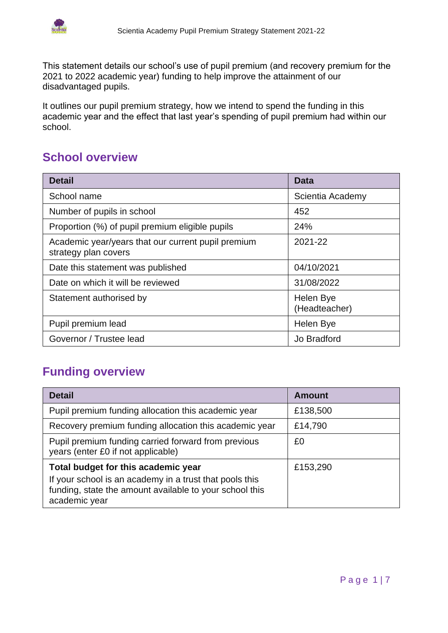

This statement details our school's use of pupil premium (and recovery premium for the 2021 to 2022 academic year) funding to help improve the attainment of our disadvantaged pupils.

It outlines our pupil premium strategy, how we intend to spend the funding in this academic year and the effect that last year's spending of pupil premium had within our school.

# **School overview**

| <b>Detail</b>                                                              | Data                       |
|----------------------------------------------------------------------------|----------------------------|
| School name                                                                | Scientia Academy           |
| Number of pupils in school                                                 | 452                        |
| Proportion (%) of pupil premium eligible pupils                            | 24%                        |
| Academic year/years that our current pupil premium<br>strategy plan covers | 2021-22                    |
| Date this statement was published                                          | 04/10/2021                 |
| Date on which it will be reviewed                                          | 31/08/2022                 |
| Statement authorised by                                                    | Helen Bye<br>(Headteacher) |
| Pupil premium lead                                                         | Helen Bye                  |
| Governor / Trustee lead                                                    | Jo Bradford                |

# **Funding overview**

| <b>Detail</b>                                                                                                                       | <b>Amount</b> |
|-------------------------------------------------------------------------------------------------------------------------------------|---------------|
| Pupil premium funding allocation this academic year                                                                                 | £138,500      |
| Recovery premium funding allocation this academic year                                                                              | £14,790       |
| Pupil premium funding carried forward from previous<br>years (enter £0 if not applicable)                                           | £0            |
| Total budget for this academic year                                                                                                 | £153,290      |
| If your school is an academy in a trust that pools this<br>funding, state the amount available to your school this<br>academic year |               |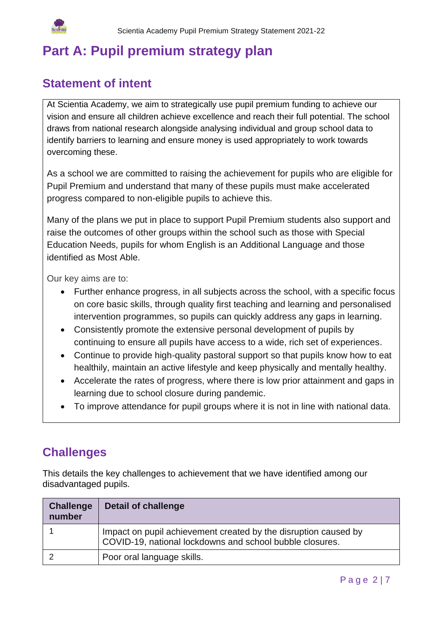

# **Part A: Pupil premium strategy plan**

#### **Statement of intent**

At Scientia Academy, we aim to strategically use pupil premium funding to achieve our vision and ensure all children achieve excellence and reach their full potential. The school draws from national research alongside analysing individual and group school data to identify barriers to learning and ensure money is used appropriately to work towards overcoming these.

As a school we are committed to raising the achievement for pupils who are eligible for Pupil Premium and understand that many of these pupils must make accelerated progress compared to non-eligible pupils to achieve this.

Many of the plans we put in place to support Pupil Premium students also support and raise the outcomes of other groups within the school such as those with Special Education Needs, pupils for whom English is an Additional Language and those identified as Most Able.

Our key aims are to:

- Further enhance progress, in all subjects across the school, with a specific focus on core basic skills, through quality first teaching and learning and personalised intervention programmes, so pupils can quickly address any gaps in learning.
- Consistently promote the extensive personal development of pupils by continuing to ensure all pupils have access to a wide, rich set of experiences.
- Continue to provide high-quality pastoral support so that pupils know how to eat healthily, maintain an active lifestyle and keep physically and mentally healthy.
- Accelerate the rates of progress, where there is low prior attainment and gaps in learning due to school closure during pandemic.
- To improve attendance for pupil groups where it is not in line with national data.

#### **Challenges**

This details the key challenges to achievement that we have identified among our disadvantaged pupils.

| <b>Challenge</b><br>number | <b>Detail of challenge</b>                                                                                                  |
|----------------------------|-----------------------------------------------------------------------------------------------------------------------------|
|                            | Impact on pupil achievement created by the disruption caused by<br>COVID-19, national lockdowns and school bubble closures. |
|                            | Poor oral language skills.                                                                                                  |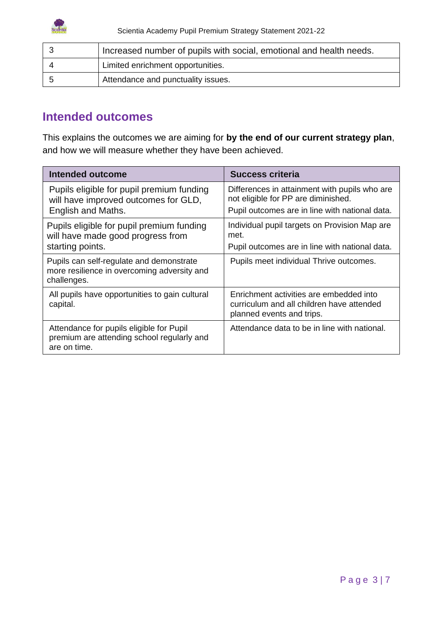

| Increased number of pupils with social, emotional and health needs. |
|---------------------------------------------------------------------|
| Limited enrichment opportunities.                                   |
| Attendance and punctuality issues.                                  |

#### **Intended outcomes**

This explains the outcomes we are aiming for **by the end of our current strategy plan**, and how we will measure whether they have been achieved.

| Intended outcome                                                                                        | <b>Success criteria</b>                                                                                                                |
|---------------------------------------------------------------------------------------------------------|----------------------------------------------------------------------------------------------------------------------------------------|
| Pupils eligible for pupil premium funding<br>will have improved outcomes for GLD,<br>English and Maths. | Differences in attainment with pupils who are<br>not eligible for PP are diminished.<br>Pupil outcomes are in line with national data. |
| Pupils eligible for pupil premium funding<br>will have made good progress from<br>starting points.      | Individual pupil targets on Provision Map are<br>met.<br>Pupil outcomes are in line with national data.                                |
| Pupils can self-regulate and demonstrate<br>more resilience in overcoming adversity and<br>challenges.  | Pupils meet individual Thrive outcomes.                                                                                                |
| All pupils have opportunities to gain cultural<br>capital.                                              | Enrichment activities are embedded into<br>curriculum and all children have attended<br>planned events and trips.                      |
| Attendance for pupils eligible for Pupil<br>premium are attending school regularly and<br>are on time.  | Attendance data to be in line with national.                                                                                           |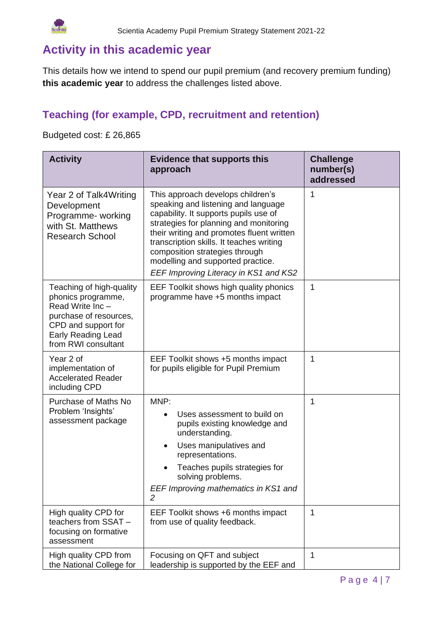

# **Activity in this academic year**

This details how we intend to spend our pupil premium (and recovery premium funding) **this academic year** to address the challenges listed above.

#### **Teaching (for example, CPD, recruitment and retention)**

Budgeted cost: £ 26,865

| <b>Activity</b>                                                                                                                                                        | <b>Evidence that supports this</b><br>approach                                                                                                                                                                                                                                                                                                                       | <b>Challenge</b><br>number(s)<br>addressed |
|------------------------------------------------------------------------------------------------------------------------------------------------------------------------|----------------------------------------------------------------------------------------------------------------------------------------------------------------------------------------------------------------------------------------------------------------------------------------------------------------------------------------------------------------------|--------------------------------------------|
| Year 2 of Talk4Writing<br>Development<br>Programme- working<br>with St. Matthews<br><b>Research School</b>                                                             | This approach develops children's<br>speaking and listening and language<br>capability. It supports pupils use of<br>strategies for planning and monitoring<br>their writing and promotes fluent written<br>transcription skills. It teaches writing<br>composition strategies through<br>modelling and supported practice.<br>EEF Improving Literacy in KS1 and KS2 | 1                                          |
| Teaching of high-quality<br>phonics programme,<br>Read Write Inc-<br>purchase of resources,<br>CPD and support for<br><b>Early Reading Lead</b><br>from RWI consultant | EEF Toolkit shows high quality phonics<br>programme have +5 months impact                                                                                                                                                                                                                                                                                            | 1                                          |
| Year 2 of<br>implementation of<br><b>Accelerated Reader</b><br>including CPD                                                                                           | EEF Toolkit shows +5 months impact<br>for pupils eligible for Pupil Premium                                                                                                                                                                                                                                                                                          | 1                                          |
| Purchase of Maths No<br>Problem 'Insights'<br>assessment package                                                                                                       | MNP:<br>Uses assessment to build on<br>pupils existing knowledge and<br>understanding.<br>Uses manipulatives and<br>$\bullet$<br>representations.<br>Teaches pupils strategies for<br>solving problems.<br>EEF Improving mathematics in KS1 and<br>2                                                                                                                 | 1                                          |
| High quality CPD for<br>teachers from SSAT -<br>focusing on formative<br>assessment                                                                                    | EEF Toolkit shows +6 months impact<br>from use of quality feedback.                                                                                                                                                                                                                                                                                                  | $\mathbf{1}$                               |
| High quality CPD from<br>the National College for                                                                                                                      | Focusing on QFT and subject<br>leadership is supported by the EEF and                                                                                                                                                                                                                                                                                                | $\mathbf{1}$                               |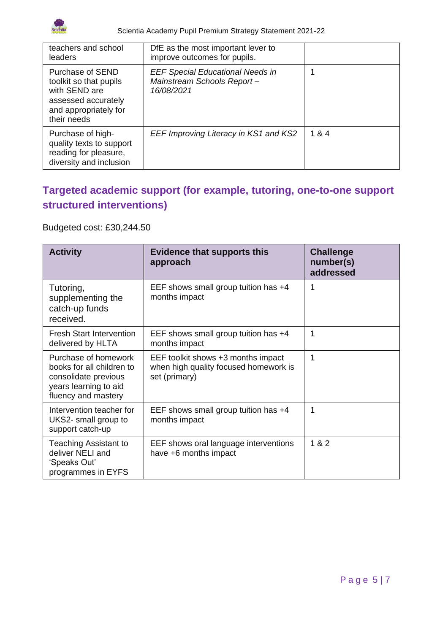

Scientia Academy Pupil Premium Strategy Statement 2021-22

| teachers and school<br>leaders                                                                                             | DfE as the most important lever to<br>improve outcomes for pupils.                  |       |
|----------------------------------------------------------------------------------------------------------------------------|-------------------------------------------------------------------------------------|-------|
| Purchase of SEND<br>toolkit so that pupils<br>with SEND are<br>assessed accurately<br>and appropriately for<br>their needs | <b>EEF Special Educational Needs in</b><br>Mainstream Schools Report-<br>16/08/2021 |       |
| Purchase of high-<br>quality texts to support<br>reading for pleasure,<br>diversity and inclusion                          | EEF Improving Literacy in KS1 and KS2                                               | 1 & 4 |

## **Targeted academic support (for example, tutoring, one-to-one support structured interventions)**

#### Budgeted cost: £30,244.50

| <b>Activity</b>                                                                                                           | <b>Evidence that supports this</b><br>approach                                               | <b>Challenge</b><br>number(s)<br>addressed |
|---------------------------------------------------------------------------------------------------------------------------|----------------------------------------------------------------------------------------------|--------------------------------------------|
| Tutoring,<br>supplementing the<br>catch-up funds<br>received.                                                             | EEF shows small group tuition has +4<br>months impact                                        | 1                                          |
| <b>Fresh Start Intervention</b><br>delivered by HLTA                                                                      | EEF shows small group tuition has +4<br>months impact                                        | 1                                          |
| Purchase of homework<br>books for all children to<br>consolidate previous<br>years learning to aid<br>fluency and mastery | EEF toolkit shows +3 months impact<br>when high quality focused homework is<br>set (primary) | 1                                          |
| Intervention teacher for<br>UKS2- small group to<br>support catch-up                                                      | EEF shows small group tuition has +4<br>months impact                                        | 1                                          |
| Teaching Assistant to<br>deliver NELI and<br>'Speaks Out'<br>programmes in EYFS                                           | EEF shows oral language interventions<br>have +6 months impact                               | 1 & 2                                      |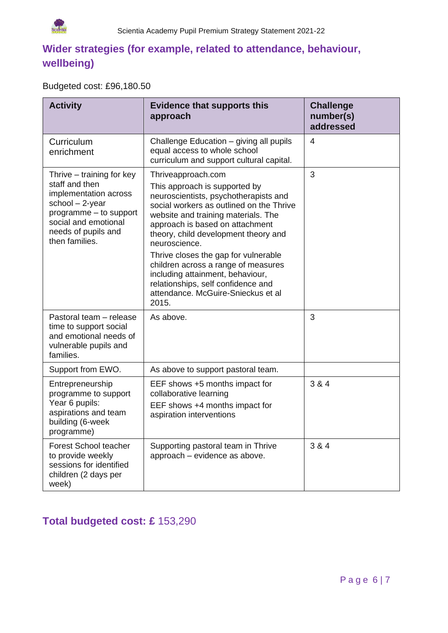

## **Wider strategies (for example, related to attendance, behaviour, wellbeing)**

#### Budgeted cost: £96,180.50

| <b>Activity</b>                                                                                                                                                                      | <b>Evidence that supports this</b><br>approach                                                                                                                                                                                                                                                                                                                                                                                                                                      | <b>Challenge</b><br>number(s)<br>addressed |
|--------------------------------------------------------------------------------------------------------------------------------------------------------------------------------------|-------------------------------------------------------------------------------------------------------------------------------------------------------------------------------------------------------------------------------------------------------------------------------------------------------------------------------------------------------------------------------------------------------------------------------------------------------------------------------------|--------------------------------------------|
| Curriculum<br>enrichment                                                                                                                                                             | Challenge Education - giving all pupils<br>equal access to whole school<br>curriculum and support cultural capital.                                                                                                                                                                                                                                                                                                                                                                 | 4                                          |
| Thrive – training for key<br>staff and then<br>implementation across<br>school $-2$ -year<br>programme - to support<br>social and emotional<br>needs of pupils and<br>then families. | Thriveapproach.com<br>This approach is supported by<br>neuroscientists, psychotherapists and<br>social workers as outlined on the Thrive<br>website and training materials. The<br>approach is based on attachment<br>theory, child development theory and<br>neuroscience.<br>Thrive closes the gap for vulnerable<br>children across a range of measures<br>including attainment, behaviour,<br>relationships, self confidence and<br>attendance. McGuire-Snieckus et al<br>2015. | 3                                          |
| Pastoral team - release<br>time to support social<br>and emotional needs of<br>vulnerable pupils and<br>families.                                                                    | As above.                                                                                                                                                                                                                                                                                                                                                                                                                                                                           | 3                                          |
| Support from EWO.                                                                                                                                                                    | As above to support pastoral team.                                                                                                                                                                                                                                                                                                                                                                                                                                                  |                                            |
| Entrepreneurship<br>programme to support<br>Year 6 pupils:<br>aspirations and team<br>building (6-week<br>programme)                                                                 | EEF shows +5 months impact for<br>collaborative learning<br>EEF shows +4 months impact for<br>aspiration interventions                                                                                                                                                                                                                                                                                                                                                              | 3 & 4                                      |
| <b>Forest School teacher</b><br>to provide weekly<br>sessions for identified<br>children (2 days per<br>week)                                                                        | Supporting pastoral team in Thrive<br>approach - evidence as above.                                                                                                                                                                                                                                                                                                                                                                                                                 | 3 & 4                                      |

### **Total budgeted cost: £** 153,290